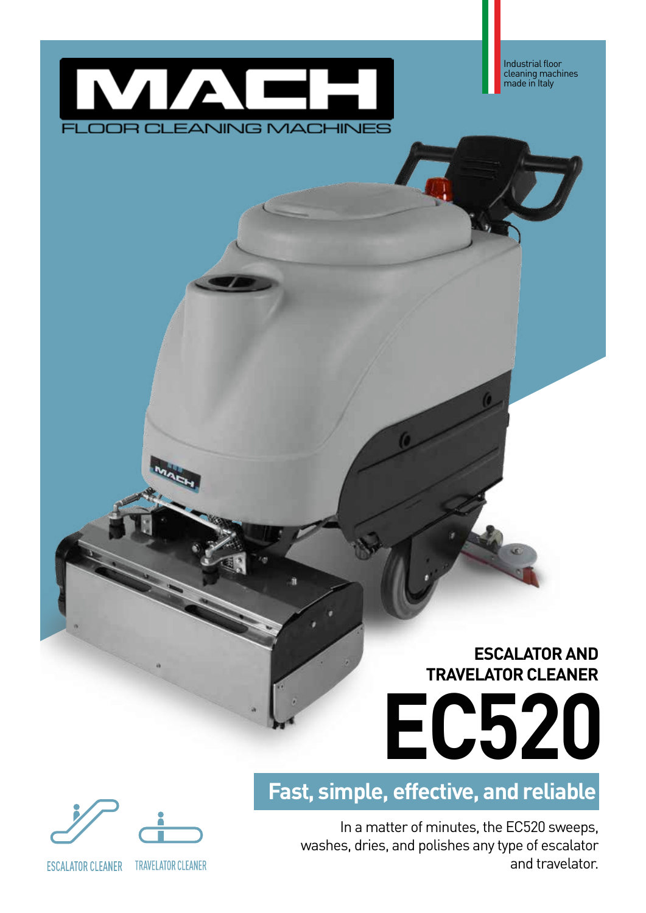

Industrial floor cleaning machines made in Italy

# **ESCALATOR AND TRAVELATOR CLEANER**



**Fast, simple, effective, and reliable**

In a matter of minutes, the EC520 sweeps, washes, dries, and polishes any type of escalator and travelator.



**ESCALATOR CLEANER** 

**TRAVELATOR CLEANER**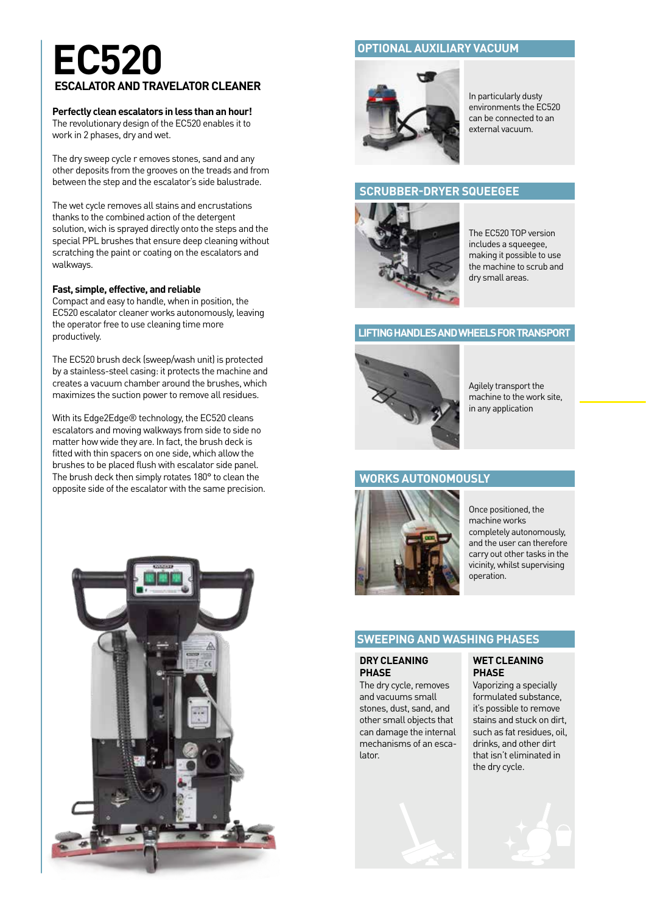# **EC520 ESCALATOR AND TRAVELATOR CLEANER**

#### **Perfectly clean escalators in less than an hour!**

The revolutionary design of the EC520 enables it to work in 2 phases, dry and wet.

The dry sweep cycle r emoves stones, sand and any other deposits from the grooves on the treads and from between the step and the escalator's side balustrade.

The wet cycle removes all stains and encrustations thanks to the combined action of the detergent solution, wich is sprayed directly onto the steps and the special PPL brushes that ensure deep cleaning without scratching the paint or coating on the escalators and walkways.

#### **Fast, simple, effective, and reliable**

Compact and easy to handle, when in position, the EC520 escalator cleaner works autonomously, leaving the operator free to use cleaning time more productively.

The EC520 brush deck (sweep/wash unit) is protected by a stainless-steel casing: it protects the machine and creates a vacuum chamber around the brushes, which maximizes the suction power to remove all residues.

With its Edge2Edge® technology, the EC520 cleans escalators and moving walkways from side to side no matter how wide they are. In fact, the brush deck is fitted with thin spacers on one side, which allow the brushes to be placed flush with escalator side panel. The brush deck then simply rotates 180° to clean the opposite side of the escalator with the same precision.



### **OPTIONAL AUXILIARY VACUUM**



In particularly dusty environments the EC520 can be connected to an external vacuum.

#### **SCRUBBER-DRYER SQUEEGEE**



The EC520 TOP version includes a squeegee, making it possible to use the machine to scrub and dry small areas.

#### **LIFTING HANDLES AND WHEELS FOR TRANSPORT**



Agilely transport the machine to the work site, in any application

#### **WORKS AUTONOMOUSLY**



Once positioned, the machine works completely autonomously, and the user can therefore carry out other tasks in the vicinity, whilst supervising operation.

### **SWEEPING AND WASHING PHASES**

#### **DRY CLEANING PHASE**

The dry cycle, removes and vacuums small stones, dust, sand, and other small objects that can damage the internal mechanisms of an escalator.



#### **WET CLEANING PHASE**

Vaporizing a specially formulated substance, it's possible to remove stains and stuck on dirt, such as fat residues, oil, drinks, and other dirt that isn't eliminated in the dry cycle.

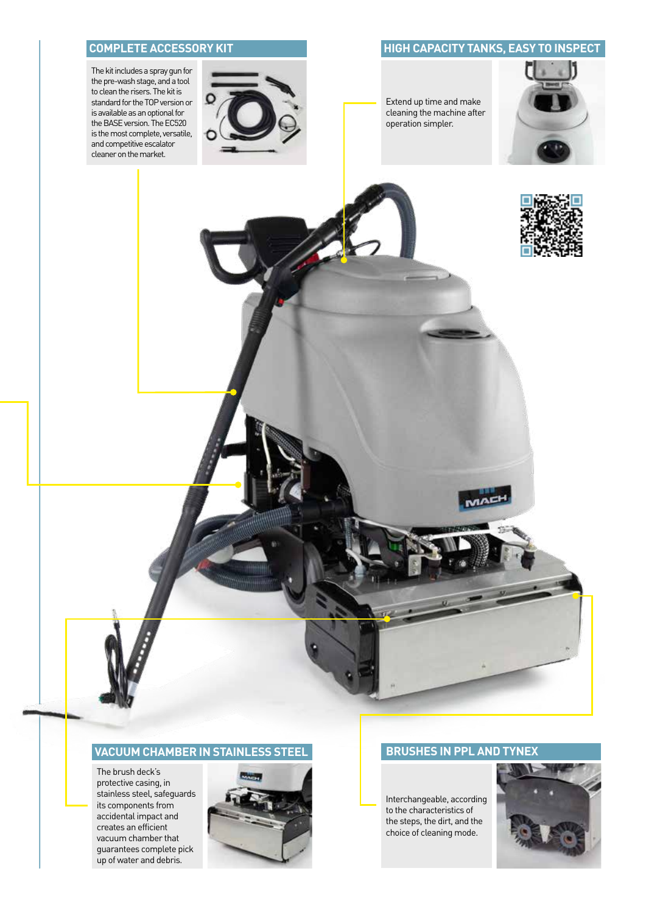The kit includes a spray gun for the pre-wash stage, and a tool to clean the risers. The kit is standard for the TOP version or is available as an optional for the BASE version. The EC520 is the most complete, versatile, and competitive escalator cleaner on the market.



### **COMPLETE ACCESSORY KIT AND RESOLUTION COMPLETE ACCESSORY KIT**

Extend up time and make cleaning the machine after operation simpler.





#### **VACUUM CHAMBER IN STAINLESS STEEL BRUSHES IN PPL AND TYNEX**

The brush deck's protective casing, in stainless steel, safeguards its components from accidental impact and creates an efficient vacuum chamber that guarantees complete pick up of water and debris.



MAE

Interchangeable, according to the characteristics of the steps, the dirt, and the choice of cleaning mode.